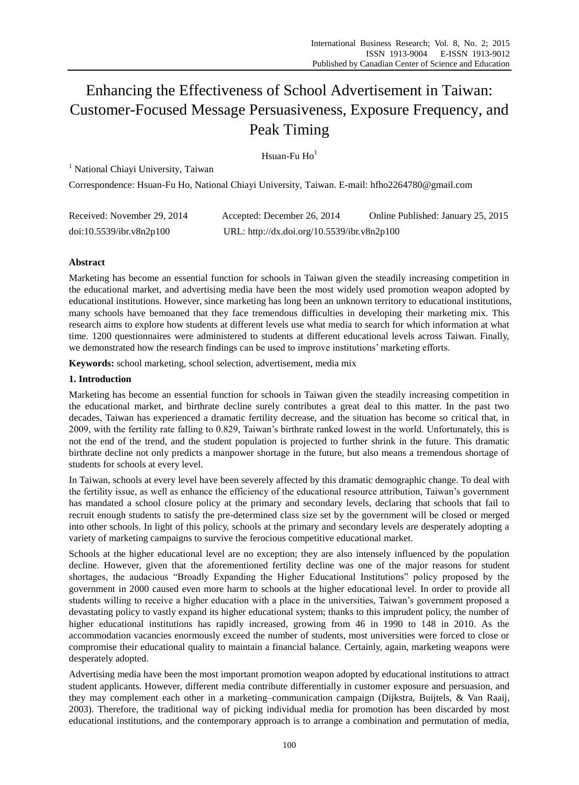# Enhancing the Effectiveness of School Advertisement in Taiwan: Customer-Focused Message Persuasiveness, Exposure Frequency, and Peak Timing

## Hsuan-Fu  $Ho<sup>1</sup>$

<sup>1</sup> National Chiayi University, Taiwan

Correspondence: Hsuan-Fu Ho, National Chiayi University, Taiwan. E-mail: hfho2264780@gmail.com

| Received: November 29, 2014 | Accepted: December 26, 2014                 | Online Published: January 25, 2015 |
|-----------------------------|---------------------------------------------|------------------------------------|
| doi:10.5539/ibr.v8n2p100    | URL: http://dx.doi.org/10.5539/ibr.v8n2p100 |                                    |

## **Abstract**

Marketing has become an essential function for schools in Taiwan given the steadily increasing competition in the educational market, and advertising media have been the most widely used promotion weapon adopted by educational institutions. However, since marketing has long been an unknown territory to educational institutions, many schools have bemoaned that they face tremendous difficulties in developing their marketing mix. This research aims to explore how students at different levels use what media to search for which information at what time. 1200 questionnaires were administered to students at different educational levels across Taiwan. Finally, we demonstrated how the research findings can be used to improve institutions' marketing efforts.

**Keywords:** school marketing, school selection, advertisement, media mix

## **1. Introduction**

Marketing has become an essential function for schools in Taiwan given the steadily increasing competition in the educational market, and birthrate decline surely contributes a great deal to this matter. In the past two decades, Taiwan has experienced a dramatic fertility decrease, and the situation has become so critical that, in 2009, with the fertility rate falling to 0.829, Taiwan's birthrate ranked lowest in the world. Unfortunately, this is not the end of the trend, and the student population is projected to further shrink in the future. This dramatic birthrate decline not only predicts a manpower shortage in the future, but also means a tremendous shortage of students for schools at every level.

In Taiwan, schools at every level have been severely affected by this dramatic demographic change. To deal with the fertility issue, as well as enhance the efficiency of the educational resource attribution, Taiwan's government has mandated a school closure policy at the primary and secondary levels, declaring that schools that fail to recruit enough students to satisfy the pre-determined class size set by the government will be closed or merged into other schools. In light of this policy, schools at the primary and secondary levels are desperately adopting a variety of marketing campaigns to survive the ferocious competitive educational market.

Schools at the higher educational level are no exception; they are also intensely influenced by the population decline. However, given that the aforementioned fertility decline was one of the major reasons for student shortages, the audacious "Broadly Expanding the Higher Educational Institutions" policy proposed by the government in 2000 caused even more harm to schools at the higher educational level. In order to provide all students willing to receive a higher education with a place in the universities, Taiwan's government proposed a devastating policy to vastly expand its higher educational system; thanks to this imprudent policy, the number of higher educational institutions has rapidly increased, growing from 46 in 1990 to 148 in 2010. As the accommodation vacancies enormously exceed the number of students, most universities were forced to close or compromise their educational quality to maintain a financial balance. Certainly, again, marketing weapons were desperately adopted.

Advertising media have been the most important promotion weapon adopted by educational institutions to attract student applicants. However, different media contribute differentially in customer exposure and persuasion, and they may complement each other in a marketing–communication campaign (Dijkstra, Buijtels, & Van Raaij, 2003). Therefore, the traditional way of picking individual media for promotion has been discarded by most educational institutions, and the contemporary approach is to arrange a combination and permutation of media,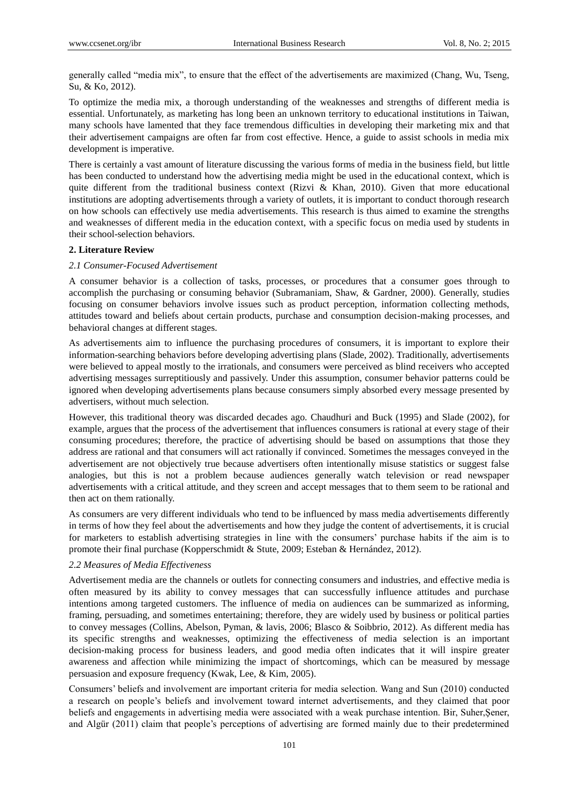generally called "media mix", to ensure that the effect of the advertisements are maximized (Chang, Wu, Tseng, Su, & Ko, 2012).

To optimize the media mix, a thorough understanding of the weaknesses and strengths of different media is essential. Unfortunately, as marketing has long been an unknown territory to educational institutions in Taiwan, many schools have lamented that they face tremendous difficulties in developing their marketing mix and that their advertisement campaigns are often far from cost effective. Hence, a guide to assist schools in media mix development is imperative.

There is certainly a vast amount of literature discussing the various forms of media in the business field, but little has been conducted to understand how the advertising media might be used in the educational context, which is quite different from the traditional business context (Rizvi & Khan, 2010). Given that more educational institutions are adopting advertisements through a variety of outlets, it is important to conduct thorough research on how schools can effectively use media advertisements. This research is thus aimed to examine the strengths and weaknesses of different media in the education context, with a specific focus on media used by students in their school-selection behaviors.

## **2. Literature Review**

## *2.1 Consumer-Focused Advertisement*

A consumer behavior is a collection of tasks, processes, or procedures that a consumer goes through to accomplish the purchasing or consuming behavior (Subramaniam, Shaw, & Gardner, 2000). Generally, studies focusing on consumer behaviors involve issues such as product perception, information collecting methods, attitudes toward and beliefs about certain products, purchase and consumption decision-making processes, and behavioral changes at different stages.

As advertisements aim to influence the purchasing procedures of consumers, it is important to explore their information-searching behaviors before developing advertising plans (Slade, 2002). Traditionally, advertisements were believed to appeal mostly to the irrationals, and consumers were perceived as blind receivers who accepted advertising messages surreptitiously and passively. Under this assumption, consumer behavior patterns could be ignored when developing advertisements plans because consumers simply absorbed every message presented by advertisers, without much selection.

However, this traditional theory was discarded decades ago. Chaudhuri and Buck (1995) and Slade (2002), for example, argues that the process of the advertisement that influences consumers is rational at every stage of their consuming procedures; therefore, the practice of advertising should be based on assumptions that those they address are rational and that consumers will act rationally if convinced. Sometimes the messages conveyed in the advertisement are not objectively true because advertisers often intentionally misuse statistics or suggest false analogies, but this is not a problem because audiences generally watch television or read newspaper advertisements with a critical attitude, and they screen and accept messages that to them seem to be rational and then act on them rationally.

As consumers are very different individuals who tend to be influenced by mass media advertisements differently in terms of how they feel about the advertisements and how they judge the content of advertisements, it is crucial for marketers to establish advertising strategies in line with the consumers' purchase habits if the aim is to promote their final purchase (Kopperschmidt & Stute, 2009; Esteban & Hernández, 2012).

## *2.2 Measures of Media Effectiveness*

Advertisement media are the channels or outlets for connecting consumers and industries, and effective media is often measured by its ability to convey messages that can successfully influence attitudes and purchase intentions among targeted customers. The influence of media on audiences can be summarized as informing, framing, persuading, and sometimes entertaining; therefore, they are widely used by business or political parties to convey messages (Collins, Abelson, Pyman, & lavis, 2006; Blasco & Soibbrio, 2012). As different media has its specific strengths and weaknesses, optimizing the effectiveness of media selection is an important decision-making process for business leaders, and good media often indicates that it will inspire greater awareness and affection while minimizing the impact of shortcomings, which can be measured by message persuasion and exposure frequency (Kwak, Lee, & Kim, 2005).

Consumers' beliefs and involvement are important criteria for media selection. Wang and Sun (2010) conducted a research on people's beliefs and involvement toward internet advertisements, and they claimed that poor beliefs and engagements in advertising media were associated with a weak purchase intention. Bir, Suher,Şener, and Algür (2011) claim that people's perceptions of advertising are formed mainly due to their predetermined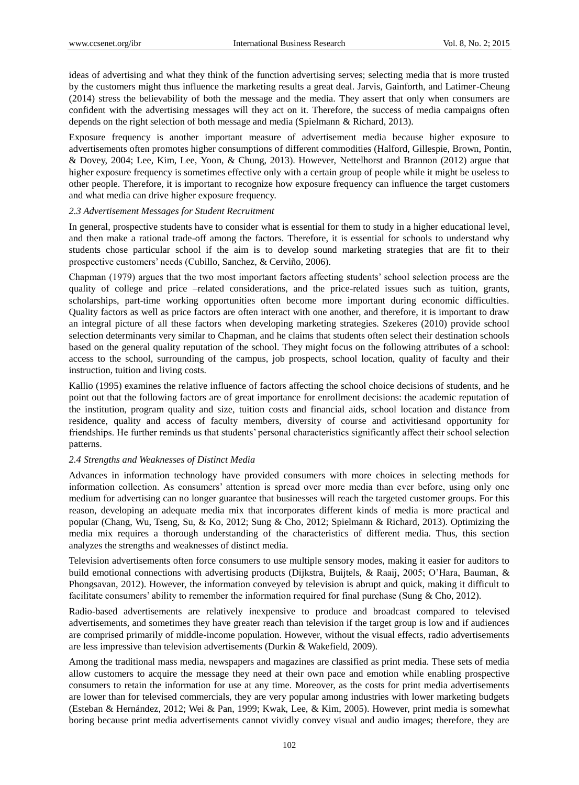ideas of advertising and what they think of the function advertising serves; selecting media that is more trusted by the customers might thus influence the marketing results a great deal. Jarvis, Gainforth, and Latimer-Cheung (2014) stress the believability of both the message and the media. They assert that only when consumers are confident with the advertising messages will they act on it. Therefore, the success of media campaigns often depends on the right selection of both message and media (Spielmann & Richard, 2013).

Exposure frequency is another important measure of advertisement media because higher exposure to advertisements often promotes higher consumptions of different commodities (Halford, Gillespie, Brown, Pontin, & Dovey, 2004; Lee, Kim, Lee, Yoon, & Chung, 2013). However, Nettelhorst and Brannon (2012) argue that higher exposure frequency is sometimes effective only with a certain group of people while it might be useless to other people. Therefore, it is important to recognize how exposure frequency can influence the target customers and what media can drive higher exposure frequency.

#### *2.3 Advertisement Messages for Student Recruitment*

In general, prospective students have to consider what is essential for them to study in a higher educational level, and then make a rational trade-off among the factors. Therefore, it is essential for schools to understand why students chose particular school if the aim is to develop sound marketing strategies that are fit to their prospective customers' needs (Cubillo, Sanchez, & Cerviño, 2006).

Chapman (1979) argues that the two most important factors affecting students' school selection process are the quality of college and price –related considerations, and the price-related issues such as tuition, grants, scholarships, part-time working opportunities often become more important during economic difficulties. Quality factors as well as price factors are often interact with one another, and therefore, it is important to draw an integral picture of all these factors when developing marketing strategies. Szekeres (2010) provide school selection determinants very similar to Chapman, and he claims that students often select their destination schools based on the general quality reputation of the school. They might focus on the following attributes of a school: access to the school, surrounding of the campus, job prospects, school location, quality of faculty and their instruction, tuition and living costs.

Kallio (1995) examines the relative influence of factors affecting the school choice decisions of students, and he point out that the following factors are of great importance for enrollment decisions: the academic reputation of the institution, program quality and size, tuition costs and financial aids, school location and distance from residence, quality and access of faculty members, diversity of course and activitiesand opportunity for friendships. He further reminds us that students' personal characteristics significantly affect their school selection patterns.

#### *2.4 Strengths and Weaknesses of Distinct Media*

Advances in information technology have provided consumers with more choices in selecting methods for information collection. As consumers' attention is spread over more media than ever before, using only one medium for advertising can no longer guarantee that businesses will reach the targeted customer groups. For this reason, developing an adequate media mix that incorporates different kinds of media is more practical and popular (Chang, Wu, Tseng, Su, & Ko, 2012; Sung & Cho, 2012; Spielmann & Richard, 2013). Optimizing the media mix requires a thorough understanding of the characteristics of different media. Thus, this section analyzes the strengths and weaknesses of distinct media.

Television advertisements often force consumers to use multiple sensory modes, making it easier for auditors to build emotional connections with advertising products (Dijkstra, Buijtels, & Raaij, 2005; O'Hara, Bauman, & Phongsavan, 2012). However, the information conveyed by television is abrupt and quick, making it difficult to facilitate consumers' ability to remember the information required for final purchase (Sung & Cho, 2012).

Radio-based advertisements are relatively inexpensive to produce and broadcast compared to televised advertisements, and sometimes they have greater reach than television if the target group is low and if audiences are comprised primarily of middle-income population. However, without the visual effects, radio advertisements are less impressive than television advertisements (Durkin & Wakefield, 2009).

Among the traditional mass media, newspapers and magazines are classified as print media. These sets of media allow customers to acquire the message they need at their own pace and emotion while enabling prospective consumers to retain the information for use at any time. Moreover, as the costs for print media advertisements are lower than for televised commercials, they are very popular among industries with lower marketing budgets (Esteban & Hernández, 2012; Wei & Pan, 1999; Kwak, Lee, & Kim, 2005). However, print media is somewhat boring because print media advertisements cannot vividly convey visual and audio images; therefore, they are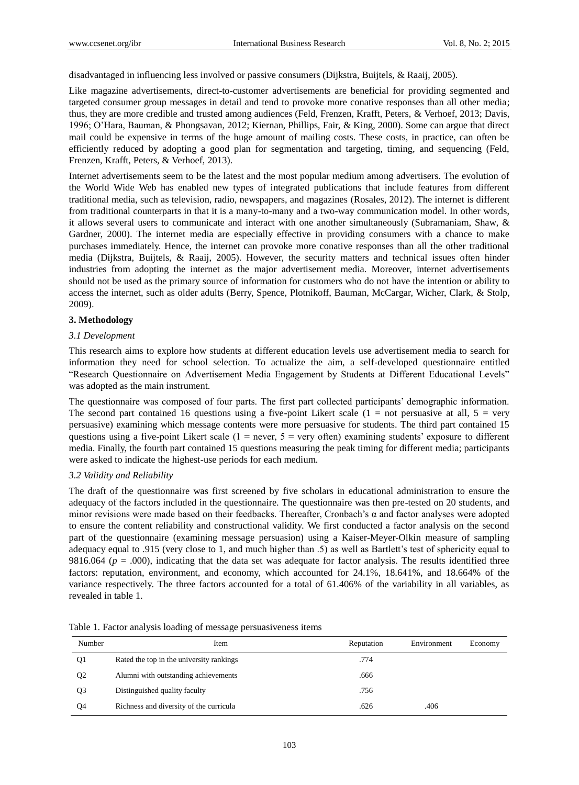disadvantaged in influencing less involved or passive consumers (Dijkstra, Buijtels, & Raaij, 2005).

Like magazine advertisements, direct-to-customer advertisements are beneficial for providing segmented and targeted consumer group messages in detail and tend to provoke more conative responses than all other media; thus, they are more credible and trusted among audiences (Feld, Frenzen, Krafft, Peters, & Verhoef, 2013; Davis, 1996; O'Hara, Bauman, & Phongsavan, 2012; Kiernan, Phillips, Fair, & King, 2000). Some can argue that direct mail could be expensive in terms of the huge amount of mailing costs. These costs, in practice, can often be efficiently reduced by adopting a good plan for segmentation and targeting, timing, and sequencing (Feld, Frenzen, Krafft, Peters, & Verhoef, 2013).

Internet advertisements seem to be the latest and the most popular medium among advertisers. The evolution of the World Wide Web has enabled new types of integrated publications that include features from different traditional media, such as television, radio, newspapers, and magazines (Rosales, 2012). The internet is different from traditional counterparts in that it is a many-to-many and a two-way communication model. In other words, it allows several users to communicate and interact with one another simultaneously (Subramaniam, Shaw, & Gardner, 2000). The internet media are especially effective in providing consumers with a chance to make purchases immediately. Hence, the internet can provoke more conative responses than all the other traditional media (Dijkstra, Buijtels, & Raaij, 2005). However, the security matters and technical issues often hinder industries from adopting the internet as the major advertisement media. Moreover, internet advertisements should not be used as the primary source of information for customers who do not have the intention or ability to access the internet, such as older adults (Berry, Spence, Plotnikoff, Bauman, McCargar, Wicher, Clark, & Stolp, 2009).

## **3. Methodology**

#### *3.1 Development*

This research aims to explore how students at different education levels use advertisement media to search for information they need for school selection. To actualize the aim, a self-developed questionnaire entitled "Research Questionnaire on Advertisement Media Engagement by Students at Different Educational Levels" was adopted as the main instrument.

The questionnaire was composed of four parts. The first part collected participants' demographic information. The second part contained 16 questions using a five-point Likert scale  $(1 = not)$  persuasive at all,  $5 = very$ persuasive) examining which message contents were more persuasive for students. The third part contained 15 questions using a five-point Likert scale ( $1 =$  never,  $5 =$  very often) examining students' exposure to different media. Finally, the fourth part contained 15 questions measuring the peak timing for different media; participants were asked to indicate the highest-use periods for each medium.

#### *3.2 Validity and Reliability*

The draft of the questionnaire was first screened by five scholars in educational administration to ensure the adequacy of the factors included in the questionnaire. The questionnaire was then pre-tested on 20 students, and minor revisions were made based on their feedbacks. Thereafter, Cronbach's  $\alpha$  and factor analyses were adopted to ensure the content reliability and constructional validity. We first conducted a factor analysis on the second part of the questionnaire (examining message persuasion) using a Kaiser-Meyer-Olkin measure of sampling adequacy equal to .915 (very close to 1, and much higher than .5) as well as Bartlett's test of sphericity equal to 9816.064 ( $p = .000$ ), indicating that the data set was adequate for factor analysis. The results identified three factors: reputation, environment, and economy, which accounted for 24.1%, 18.641%, and 18.664% of the variance respectively. The three factors accounted for a total of 61.406% of the variability in all variables, as revealed in table 1.

| Number         | Item                                     | Reputation | Environment | Economy |
|----------------|------------------------------------------|------------|-------------|---------|
| Q1             | Rated the top in the university rankings | .774       |             |         |
| Q <sub>2</sub> | Alumni with outstanding achievements     | .666       |             |         |
| Q <sub>3</sub> | Distinguished quality faculty            | .756       |             |         |
| O4             | Richness and diversity of the curricula  | .626       | .406        |         |

Table 1. Factor analysis loading of message persuasiveness items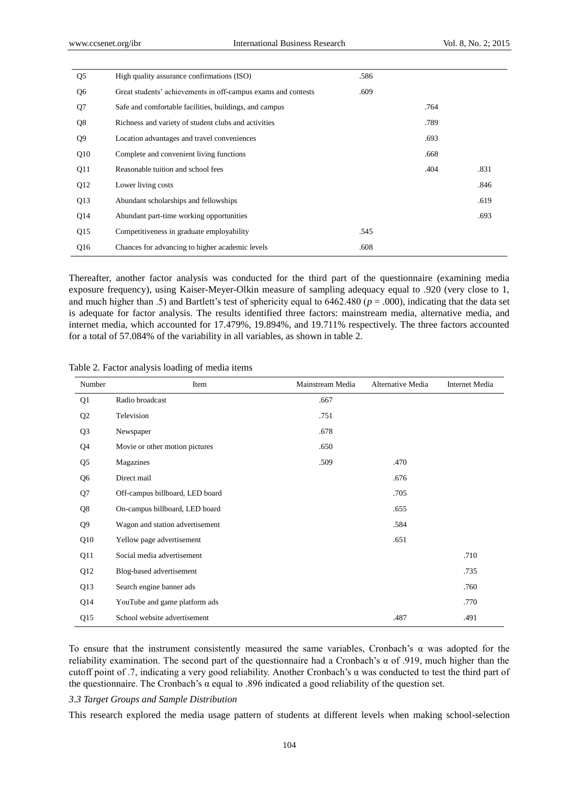| Q <sub>5</sub> | High quality assurance confirmations (ISO)                    | .586 |      |      |
|----------------|---------------------------------------------------------------|------|------|------|
| Q <sub>6</sub> | Great students' achievements in off-campus exams and contests | .609 |      |      |
| Q7             | Safe and comfortable facilities, buildings, and campus        |      | .764 |      |
| Q <sub>8</sub> | Richness and variety of student clubs and activities          |      | .789 |      |
| Q <sub>9</sub> | Location advantages and travel conveniences                   |      | .693 |      |
| Q10            | Complete and convenient living functions                      |      | .668 |      |
| Q11            | Reasonable tuition and school fees                            |      | .404 | .831 |
| Q12            | Lower living costs                                            |      |      | .846 |
| Q13            | Abundant scholarships and fellowships                         |      |      | .619 |
| Q14            | Abundant part-time working opportunities                      |      |      | .693 |
| Q15            | Competitiveness in graduate employability                     | .545 |      |      |
| Q16            | Chances for advancing to higher academic levels               | .608 |      |      |

Thereafter, another factor analysis was conducted for the third part of the questionnaire (examining media exposure frequency), using Kaiser-Meyer-Olkin measure of sampling adequacy equal to .920 (very close to 1, and much higher than .5) and Bartlett's test of sphericity equal to  $6462.480$  ( $p = .000$ ), indicating that the data set is adequate for factor analysis. The results identified three factors: mainstream media, alternative media, and internet media, which accounted for 17.479%, 19.894%, and 19.711% respectively. The three factors accounted for a total of 57.084% of the variability in all variables, as shown in table 2.

| Number         | Item                            | Mainstream Media | Alternative Media | <b>Internet Media</b> |
|----------------|---------------------------------|------------------|-------------------|-----------------------|
| Q1             | Radio broadcast                 | .667             |                   |                       |
| Q <sub>2</sub> | Television                      | .751             |                   |                       |
| Q <sub>3</sub> | Newspaper                       | .678             |                   |                       |
| Q4             | Movie or other motion pictures  | .650             |                   |                       |
| Q <sub>5</sub> | Magazines                       | .509             | .470              |                       |
| Q6             | Direct mail                     |                  | .676              |                       |
| Q7             | Off-campus billboard, LED board |                  | .705              |                       |
| Q8             | On-campus billboard, LED board  |                  | .655              |                       |
| Q9             | Wagon and station advertisement |                  | .584              |                       |
| Q10            | Yellow page advertisement       |                  | .651              |                       |
| Q11            | Social media advertisement      |                  |                   | .710                  |
| Q12            | Blog-based advertisement        |                  |                   | .735                  |
| Q13            | Search engine banner ads        |                  |                   | .760                  |
| Q14            | YouTube and game platform ads   |                  |                   | .770                  |
| Q15            | School website advertisement    |                  | .487              | .491                  |

Table 2. Factor analysis loading of media items

To ensure that the instrument consistently measured the same variables, Cronbach's α was adopted for the reliability examination. The second part of the questionnaire had a Cronbach's α of .919, much higher than the cutoff point of .7, indicating a very good reliability. Another Cronbach's α was conducted to test the third part of the questionnaire. The Cronbach's α equal to .896 indicated a good reliability of the question set.

#### *3.3 Target Groups and Sample Distribution*

This research explored the media usage pattern of students at different levels when making school-selection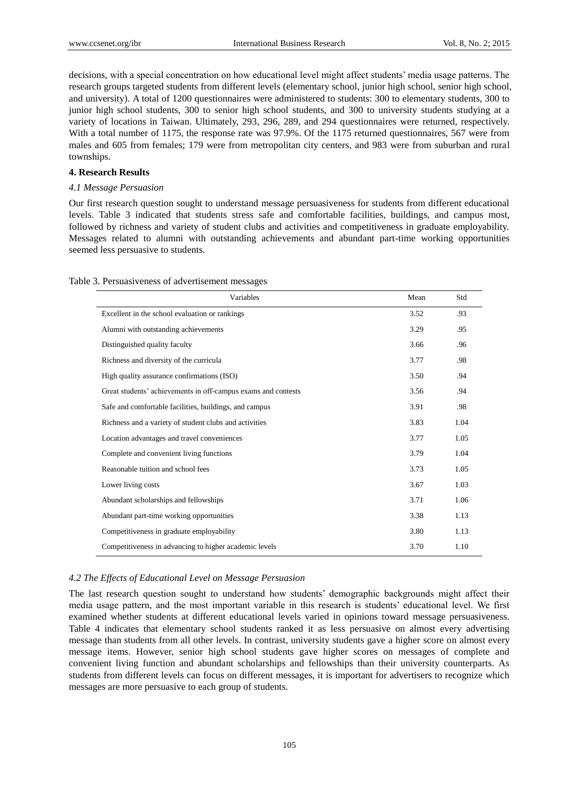decisions, with a special concentration on how educational level might affect students' media usage patterns. The research groups targeted students from different levels (elementary school, junior high school, senior high school, and university). A total of 1200 questionnaires were administered to students: 300 to elementary students, 300 to junior high school students, 300 to senior high school students, and 300 to university students studying at a variety of locations in Taiwan. Ultimately, 293, 296, 289, and 294 questionnaires were returned, respectively. With a total number of 1175, the response rate was 97.9%. Of the 1175 returned questionnaires, 567 were from males and 605 from females; 179 were from metropolitan city centers, and 983 were from suburban and rural townships.

## **4. Research Results**

## *4.1 Message Persuasion*

Our first research question sought to understand message persuasiveness for students from different educational levels. Table 3 indicated that students stress safe and comfortable facilities, buildings, and campus most, followed by richness and variety of student clubs and activities and competitiveness in graduate employability. Messages related to alumni with outstanding achievements and abundant part-time working opportunities seemed less persuasive to students.

| Variables                                                     | Mean | Std  |
|---------------------------------------------------------------|------|------|
| Excellent in the school evaluation or rankings                | 3.52 | .93  |
| Alumni with outstanding achievements                          | 3.29 | .95  |
| Distinguished quality faculty                                 | 3.66 | .96  |
| Richness and diversity of the curricula                       | 3.77 | .98  |
| High quality assurance confirmations (ISO)                    | 3.50 | .94  |
| Great students' achievements in off-campus exams and contests | 3.56 | .94  |
| Safe and comfortable facilities, buildings, and campus        | 3.91 | .98  |
| Richness and a variety of student clubs and activities        | 3.83 | 1.04 |
| Location advantages and travel conveniences                   | 3.77 | 1.05 |
| Complete and convenient living functions                      | 3.79 | 1.04 |
| Reasonable tuition and school fees                            | 3.73 | 1.05 |
| Lower living costs                                            | 3.67 | 1.03 |
| Abundant scholarships and fellowships                         | 3.71 | 1.06 |
| Abundant part-time working opportunities                      | 3.38 | 1.13 |
| Competitiveness in graduate employability                     | 3.80 | 1.13 |
| Competitiveness in advancing to higher academic levels        | 3.70 | 1.10 |

## *4.2 The Effects of Educational Level on Message Persuasion*

The last research question sought to understand how students' demographic backgrounds might affect their media usage pattern, and the most important variable in this research is students' educational level. We first examined whether students at different educational levels varied in opinions toward message persuasiveness. Table 4 indicates that elementary school students ranked it as less persuasive on almost every advertising message than students from all other levels. In contrast, university students gave a higher score on almost every message items. However, senior high school students gave higher scores on messages of complete and convenient living function and abundant scholarships and fellowships than their university counterparts. As students from different levels can focus on different messages, it is important for advertisers to recognize which messages are more persuasive to each group of students.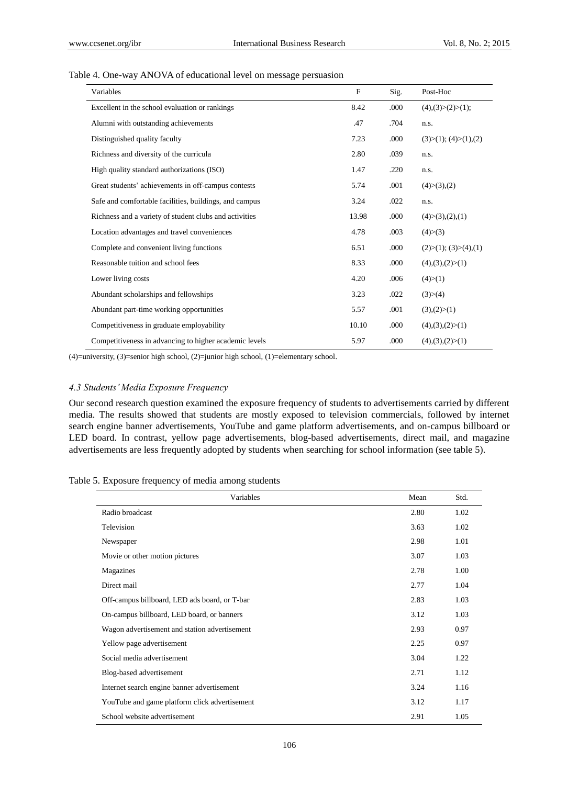#### Table 4. One-way ANOVA of educational level on message persuasion

| Variables                                              | $\mathbf{F}$ | Sig. | Post-Hoc                     |
|--------------------------------------------------------|--------------|------|------------------------------|
| Excellent in the school evaluation or rankings         | 8.42         | .000 | $(4)$ , $(3) > (2) > (1)$ ;  |
| Alumni with outstanding achievements                   | .47          | .704 | n.s.                         |
| Distinguished quality faculty                          | 7.23         | .000 | (3)>(1); (4)>(1),(2)         |
| Richness and diversity of the curricula                | 2.80         | .039 | n.s.                         |
| High quality standard authorizations (ISO)             | 1.47         | .220 | n.s.                         |
| Great students' achievements in off-campus contests    | 5.74         | .001 | $(4)>(3)$ , $(2)$            |
| Safe and comfortable facilities, buildings, and campus | 3.24         | .022 | n.s.                         |
| Richness and a variety of student clubs and activities | 13.98        | .000 | (4)>(3),(2),(1)              |
| Location advantages and travel conveniences            | 4.78         | .003 | (4)>(3)                      |
| Complete and convenient living functions               | 6.51         | .000 | (2) > (1); (3) > (4), (1)    |
| Reasonable tuition and school fees                     | 8.33         | .000 | $(4)$ , $(3)$ , $(2) > (1)$  |
| Lower living costs                                     | 4.20         | .006 | (4)>(1)                      |
| Abundant scholarships and fellowships                  | 3.23         | .022 | (3) > (4)                    |
| Abundant part-time working opportunities               | 5.57         | .001 | (3)(2)>(1)                   |
| Competitiveness in graduate employability              | 10.10        | .000 | $(4)$ , $(3)$ , $(2)$ $>(1)$ |
| Competitiveness in advancing to higher academic levels | 5.97         | .000 | $(4)$ , $(3)$ , $(2) > (1)$  |

(4)=university, (3)=senior high school, (2)=junior high school, (1)=elementary school.

## *4.3 Students' Media Exposure Frequency*

Our second research question examined the exposure frequency of students to advertisements carried by different media. The results showed that students are mostly exposed to television commercials, followed by internet search engine banner advertisements, YouTube and game platform advertisements, and on-campus billboard or LED board. In contrast, yellow page advertisements, blog-based advertisements, direct mail, and magazine advertisements are less frequently adopted by students when searching for school information (see table 5).

Table 5. Exposure frequency of media among students

| Variables                                     | Mean | Std. |
|-----------------------------------------------|------|------|
| Radio broadcast                               | 2.80 | 1.02 |
| Television                                    | 3.63 | 1.02 |
| Newspaper                                     | 2.98 | 1.01 |
| Movie or other motion pictures                | 3.07 | 1.03 |
| Magazines                                     | 2.78 | 1.00 |
| Direct mail                                   | 2.77 | 1.04 |
| Off-campus billboard, LED ads board, or T-bar | 2.83 | 1.03 |
| On-campus billboard, LED board, or banners    | 3.12 | 1.03 |
| Wagon advertisement and station advertisement | 2.93 | 0.97 |
| Yellow page advertisement                     | 2.25 | 0.97 |
| Social media advertisement                    | 3.04 | 1.22 |
| Blog-based advertisement                      | 2.71 | 1.12 |
| Internet search engine banner advertisement   | 3.24 | 1.16 |
| YouTube and game platform click advertisement | 3.12 | 1.17 |
| School website advertisement                  | 2.91 | 1.05 |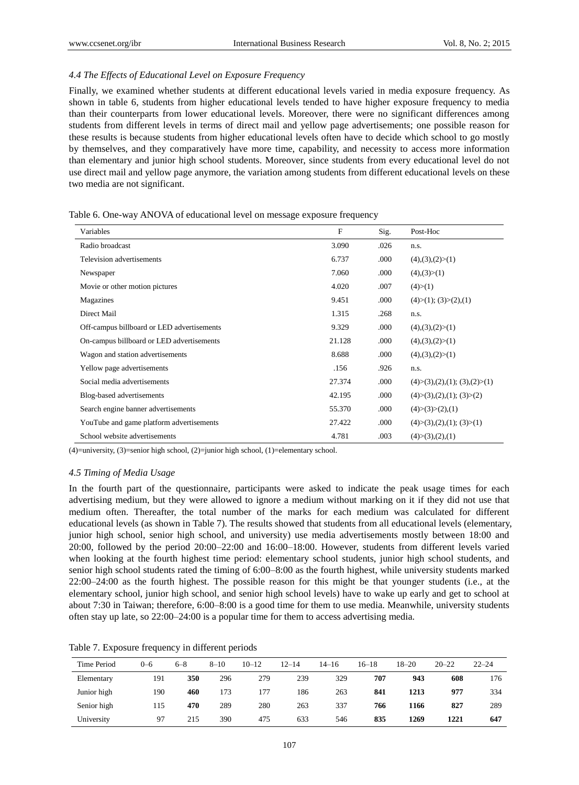## *4.4 The Effects of Educational Level on Exposure Frequency*

Finally, we examined whether students at different educational levels varied in media exposure frequency. As shown in table 6, students from higher educational levels tended to have higher exposure frequency to media than their counterparts from lower educational levels. Moreover, there were no significant differences among students from different levels in terms of direct mail and yellow page advertisements; one possible reason for these results is because students from higher educational levels often have to decide which school to go mostly by themselves, and they comparatively have more time, capability, and necessity to access more information than elementary and junior high school students. Moreover, since students from every educational level do not use direct mail and yellow page anymore, the variation among students from different educational levels on these two media are not significant.

| Variables                                  | F      | Sig. | Post-Hoc                         |
|--------------------------------------------|--------|------|----------------------------------|
| Radio broadcast                            | 3.090  | .026 | n.s.                             |
| Television advertisements                  | 6.737  | .000 | $(4)$ , $(3)$ , $(2)$ $>(1)$     |
| Newspaper                                  | 7.060  | .000 | (4)(3)>(1)                       |
| Movie or other motion pictures             | 4.020  | .007 | (4)>(1)                          |
| Magazines                                  | 9.451  | .000 | $(4)>(1)$ ; $(3)>(2)$ , $(1)$    |
| Direct Mail                                | 1.315  | .268 | n.s.                             |
| Off-campus billboard or LED advertisements | 9.329  | .000 | $(4)$ , $(3)$ , $(2) > (1)$      |
| On-campus billboard or LED advertisements  | 21.128 | .000 | $(4)$ , $(3)$ , $(2)$ $>(1)$     |
| Wagon and station advertisements           | 8.688  | .000 | $(4)$ , $(3)$ , $(2) > (1)$      |
| Yellow page advertisements                 | .156   | .926 | n.s.                             |
| Social media advertisements                | 27.374 | .000 | $(4)>(3),(2),(1);$ $(3),(2)>(1)$ |
| Blog-based advertisements                  | 42.195 | .000 | $(4)>(3),(2),(1);$ $(3)>(2)$     |
| Search engine banner advertisements        | 55.370 | .000 | $(4)>(3)>(2)$ , (1)              |
| YouTube and game platform advertisements   | 27.422 | .000 | $(4)>(3),(2),(1);$ $(3)>(1)$     |
| School website advertisements              | 4.781  | .003 | (4)>(3),(2),(1)                  |

Table 6. One-way ANOVA of educational level on message exposure frequency

 $(4)$ =university,  $(3)$ =senior high school,  $(2)$ =junior high school,  $(1)$ =elementary school.

#### *4.5 Timing of Media Usage*

In the fourth part of the questionnaire, participants were asked to indicate the peak usage times for each advertising medium, but they were allowed to ignore a medium without marking on it if they did not use that medium often. Thereafter, the total number of the marks for each medium was calculated for different educational levels (as shown in Table 7). The results showed that students from all educational levels (elementary, junior high school, senior high school, and university) use media advertisements mostly between 18:00 and 20:00, followed by the period 20:00–22:00 and 16:00–18:00. However, students from different levels varied when looking at the fourth highest time period: elementary school students, junior high school students, and senior high school students rated the timing of 6:00–8:00 as the fourth highest, while university students marked 22:00–24:00 as the fourth highest. The possible reason for this might be that younger students (i.e., at the elementary school, junior high school, and senior high school levels) have to wake up early and get to school at about 7:30 in Taiwan; therefore, 6:00–8:00 is a good time for them to use media. Meanwhile, university students often stay up late, so 22:00–24:00 is a popular time for them to access advertising media.

Table 7. Exposure frequency in different periods

| Time Period | $0 - 6$ | $6 - 8$ | $8 - 10$ | $10 - 12$ | $12 - 14$ | $14 - 16$ | $16 - 18$ | $18 - 20$ | $20 - 22$ | $22 - 24$ |
|-------------|---------|---------|----------|-----------|-----------|-----------|-----------|-----------|-----------|-----------|
| Elementary  | 191     | 350     | 296      | 279       | 239       | 329       | 707       | 943       | 608       | 176       |
| Junior high | 190     | 460     | 173      | 177       | 186       | 263       | 841       | 1213      | 977       | 334       |
| Senior high | 115     | 470     | 289      | 280       | 263       | 337       | 766       | 1166      | 827       | 289       |
| University  | -97     | 215     | 390      | 475       | 633       | 546       | 835       | 1269      | 1221      | 647       |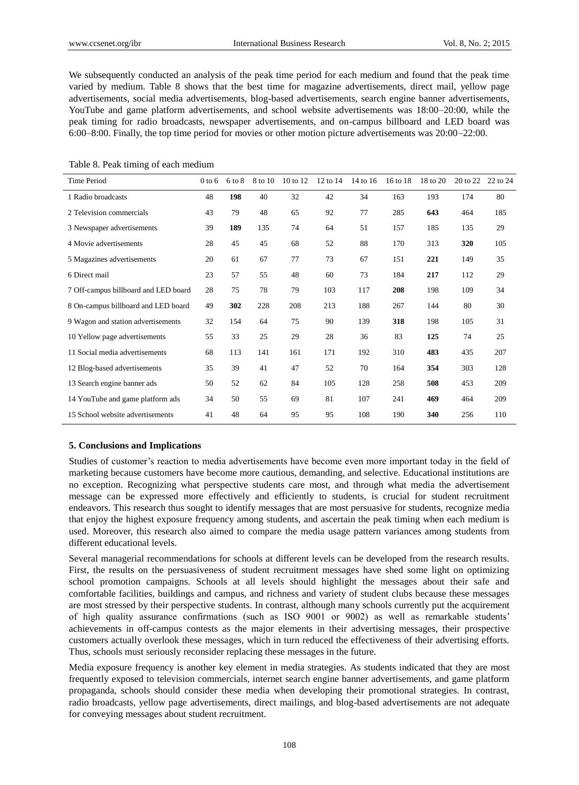We subsequently conducted an analysis of the peak time period for each medium and found that the peak time varied by medium. Table 8 shows that the best time for magazine advertisements, direct mail, yellow page advertisements, social media advertisements, blog-based advertisements, search engine banner advertisements, YouTube and game platform advertisements, and school website advertisements was 18:00–20:00, while the peak timing for radio broadcasts, newspaper advertisements, and on-campus billboard and LED board was 6:00–8:00. Finally, the top time period for movies or other motion picture advertisements was 20:00–22:00.

|  |  |  |  | Table 8. Peak timing of each medium |
|--|--|--|--|-------------------------------------|
|--|--|--|--|-------------------------------------|

| Time Period                          | $0$ to 6 | $6 \text{ to } 8$ | 8 to 10 | $10$ to $12$ | 12 to 14 | 14 to 16 | 16 to 18 | 18 to 20 | 20 to 22 | $22$ to $24$ |
|--------------------------------------|----------|-------------------|---------|--------------|----------|----------|----------|----------|----------|--------------|
| 1 Radio broadcasts                   | 48       | 198               | 40      | 32           | 42       | 34       | 163      | 193      | 174      | 80           |
| 2 Television commercials             | 43       | 79                | 48      | 65           | 92       | 77       | 285      | 643      | 464      | 185          |
| 3 Newspaper advertisements           | 39       | 189               | 135     | 74           | 64       | 51       | 157      | 185      | 135      | 29           |
| 4 Movie advertisements               | 28       | 45                | 45      | 68           | 52       | 88       | 170      | 313      | 320      | 105          |
| 5 Magazines advertisements           | 20       | 61                | 67      | 77           | 73       | 67       | 151      | 221      | 149      | 35           |
| 6 Direct mail                        | 23       | 57                | 55      | 48           | 60       | 73       | 184      | 217      | 112      | 29           |
| 7 Off-campus billboard and LED board | 28       | 75                | 78      | 79           | 103      | 117      | 208      | 198      | 109      | 34           |
| 8 On-campus billboard and LED board  | 49       | 302               | 228     | 208          | 213      | 188      | 267      | 144      | 80       | 30           |
| 9 Wagon and station advertisements   | 32       | 154               | 64      | 75           | 90       | 139      | 318      | 198      | 105      | 31           |
| 10 Yellow page advertisements        | 55       | 33                | 25      | 29           | 28       | 36       | 83       | 125      | 74       | 25           |
| 11 Social media advertisements       | 68       | 113               | 141     | 161          | 171      | 192      | 310      | 483      | 435      | 207          |
| 12 Blog-based advertisements         | 35       | 39                | 41      | 47           | 52       | 70       | 164      | 354      | 303      | 128          |
| 13 Search engine banner ads          | 50       | 52                | 62      | 84           | 105      | 128      | 258      | 508      | 453      | 209          |
| 14 YouTube and game platform ads     | 34       | 50                | 55      | 69           | 81       | 107      | 241      | 469      | 464      | 209          |
| 15 School website advertisements     | 41       | 48                | 64      | 95           | 95       | 108      | 190      | 340      | 256      | 110          |

## **5. Conclusions and Implications**

Studies of customer's reaction to media advertisements have become even more important today in the field of marketing because customers have become more cautious, demanding, and selective. Educational institutions are no exception. Recognizing what perspective students care most, and through what media the advertisement message can be expressed more effectively and efficiently to students, is crucial for student recruitment endeavors. This research thus sought to identify messages that are most persuasive for students, recognize media that enjoy the highest exposure frequency among students, and ascertain the peak timing when each medium is used. Moreover, this research also aimed to compare the media usage pattern variances among students from different educational levels.

Several managerial recommendations for schools at different levels can be developed from the research results. First, the results on the persuasiveness of student recruitment messages have shed some light on optimizing school promotion campaigns. Schools at all levels should highlight the messages about their safe and comfortable facilities, buildings and campus, and richness and variety of student clubs because these messages are most stressed by their perspective students. In contrast, although many schools currently put the acquirement of high quality assurance confirmations (such as ISO 9001 or 9002) as well as remarkable students' achievements in off-campus contests as the major elements in their advertising messages, their prospective customers actually overlook these messages, which in turn reduced the effectiveness of their advertising efforts. Thus, schools must seriously reconsider replacing these messages in the future.

Media exposure frequency is another key element in media strategies. As students indicated that they are most frequently exposed to television commercials, internet search engine banner advertisements, and game platform propaganda, schools should consider these media when developing their promotional strategies. In contrast, radio broadcasts, yellow page advertisements, direct mailings, and blog-based advertisements are not adequate for conveying messages about student recruitment.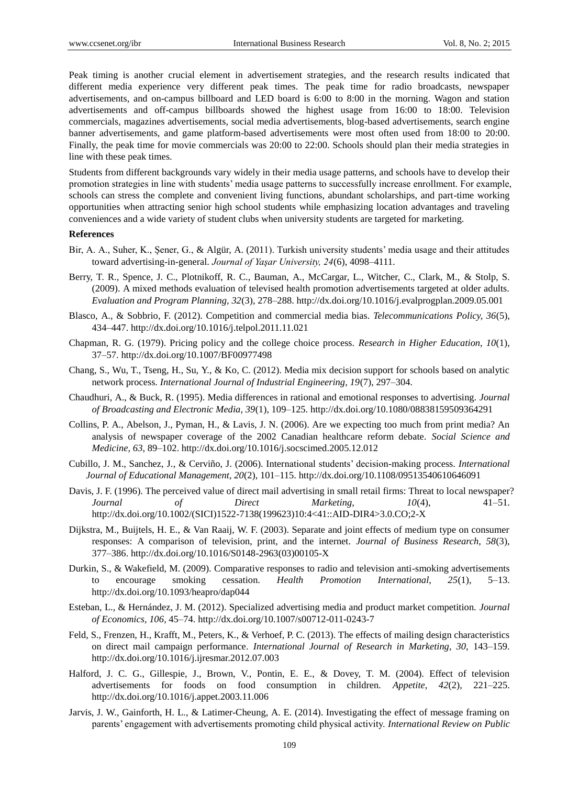Peak timing is another crucial element in advertisement strategies, and the research results indicated that different media experience very different peak times. The peak time for radio broadcasts, newspaper advertisements, and on-campus billboard and LED board is 6:00 to 8:00 in the morning. Wagon and station advertisements and off-campus billboards showed the highest usage from 16:00 to 18:00. Television commercials, magazines advertisements, social media advertisements, blog-based advertisements, search engine banner advertisements, and game platform-based advertisements were most often used from 18:00 to 20:00. Finally, the peak time for movie commercials was 20:00 to 22:00. Schools should plan their media strategies in line with these peak times.

Students from different backgrounds vary widely in their media usage patterns, and schools have to develop their promotion strategies in line with students' media usage patterns to successfully increase enrollment. For example, schools can stress the complete and convenient living functions, abundant scholarships, and part-time working opportunities when attracting senior high school students while emphasizing location advantages and traveling conveniences and a wide variety of student clubs when university students are targeted for marketing.

#### **References**

- Bir, A. A., Suher, K., Şener, G., & Algür, A. (2011). Turkish university students' media usage and their attitudes toward advertising-in-general. *Journal of Yaşar University, 24*(6), 4098–4111.
- Berry, T. R., Spence, J. C., Plotnikoff, R. C., Bauman, A., McCargar, L., Witcher, C., Clark, M., & Stolp, S. (2009). A mixed methods evaluation of televised health promotion advertisements targeted at older adults. *Evaluation and Program Planning, 32*(3), 278–288. http://dx.doi.org/10.1016/j.evalprogplan.2009.05.001
- Blasco, A., & Sobbrio, F. (2012). Competition and commercial media bias. *Telecommunications Policy, 36*(5), 434–447. http://dx.doi.org/10.1016/j.telpol.2011.11.021
- Chapman, R. G. (1979). Pricing policy and the college choice process. *Research in Higher Education, 10*(1), 37–57. http://dx.doi.org/10.1007/BF00977498
- Chang, S., Wu, T., Tseng, H., Su, Y., & Ko, C. (2012). Media mix decision support for schools based on analytic network process. *International Journal of Industrial Engineering, 19*(7), 297–304.
- Chaudhuri, A., & Buck, R. (1995). Media differences in rational and emotional responses to advertising. *Journal of Broadcasting and Electronic Media, 39*(1), 109–125. http://dx.doi.org/10.1080/08838159509364291
- Collins, P. A., Abelson, J., Pyman, H., & Lavis, J. N. (2006). Are we expecting too much from print media? An analysis of newspaper coverage of the 2002 Canadian healthcare reform debate. *Social Science and Medicine, 63*, 89–102. http://dx.doi.org/10.1016/j.socscimed.2005.12.012
- Cubillo, J. M., Sanchez, J., & Cerviño, J. (2006). International students' decision-making process. *International Journal of Educational Management, 20*(2), 101–115. http://dx.doi.org/10.1108/09513540610646091
- Davis, J. F. (1996). The perceived value of direct mail advertising in small retail firms: Threat to local newspaper? *Journal of Direct Marketing, 10*(4), 41–51. http://dx.doi.org/10.1002/(SICI)1522-7138(199623)10:4<41::AID-DIR4>3.0.CO;2-X
- Dijkstra, M., Buijtels, H. E., & Van Raaij, W. F. (2003). Separate and joint effects of medium type on consumer responses: A comparison of television, print, and the internet. *Journal of Business Research, 58*(3), 377–386. http://dx.doi.org/10.1016/S0148-2963(03)00105-X
- Durkin, S., & Wakefield, M. (2009). Comparative responses to radio and television anti-smoking advertisements to encourage smoking cessation. *Health Promotion International, 25*(1), 5–13. http://dx.doi.org/10.1093/heapro/dap044
- Esteban, L., & Hernández, J. M. (2012). Specialized advertising media and product market competition. *Journal of Economics, 106*, 45–74. http://dx.doi.org/10.1007/s00712-011-0243-7
- Feld, S., Frenzen, H., Krafft, M., Peters, K., & Verhoef, P. C. (2013). The effects of mailing design characteristics on direct mail campaign performance. *International Journal of Research in Marketing, 30,* 143–159. http://dx.doi.org/10.1016/j.ijresmar.2012.07.003
- Halford, J. C. G., Gillespie, J., Brown, V., Pontin, E. E., & Dovey, T. M. (2004). Effect of television advertisements for foods on food consumption in children. *Appetite, 42*(2), 221–225. http://dx.doi.org/10.1016/j.appet.2003.11.006
- Jarvis, J. W., Gainforth, H. L., & Latimer-Cheung, A. E. (2014). Investigating the effect of message framing on parents' engagement with advertisements promoting child physical activity. *International Review on Public*